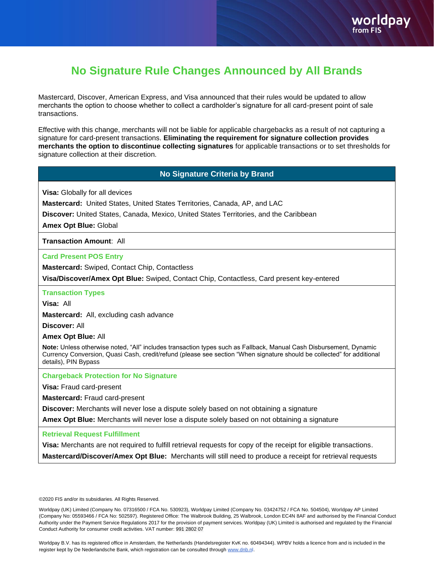## **No Signature Rule Changes Announced by All Brands**

Mastercard, Discover, American Express, and Visa announced that their rules would be updated to allow merchants the option to choose whether to collect a cardholder's signature for all card-present point of sale transactions.

Effective with this change, merchants will not be liable for applicable chargebacks as a result of not capturing a signature for card-present transactions. **Eliminating the requirement for signature collection provides merchants the option to discontinue collecting signatures** for applicable transactions or to set thresholds for signature collection at their discretion.

## **No Signature Criteria by Brand**

**Visa:** Globally for all devices

**Mastercard:** United States, United States Territories, Canada, AP, and LAC

**Discover:** United States, Canada, Mexico, United States Territories, and the Caribbean

**Amex Opt Blue:** Global

**Transaction Amount**: All

**Card Present POS Entry**

**Mastercard:** Swiped, Contact Chip, Contactless

**Visa/Discover/Amex Opt Blue:** Swiped, Contact Chip, Contactless, Card present key-entered

**Transaction Types**

**Visa:** All

**Mastercard:** All, excluding cash advance

**Discover:** All

**Amex Opt Blue:** All

**Note:** Unless otherwise noted, "All" includes transaction types such as Fallback, Manual Cash Disbursement, Dynamic Currency Conversion, Quasi Cash, credit/refund (please see section "When signature should be collected" for additional details), PIN Bypass

**Chargeback Protection for No Signature**

**Visa:** Fraud card-present

**Mastercard:** Fraud card-present

**Discover:** Merchants will never lose a dispute solely based on not obtaining a signature

**Amex Opt Blue:** Merchants will never lose a dispute solely based on not obtaining a signature

**Retrieval Request Fulfillment**

**Visa:** Merchants are not required to fulfill retrieval requests for copy of the receipt for eligible transactions. **Mastercard/Discover/Amex Opt Blue:** Merchants will still need to produce a receipt for retrieval requests

©2020 FIS and/or its subsidiaries. All Rights Reserved.

Worldpay (UK) Limited (Company No. 07316500 / FCA No. 530923), Worldpay Limited (Company No. 03424752 / FCA No. 504504), Worldpay AP Limited (Company No: 05593466 / FCA No: 502597). Registered Office: The Walbrook Building, 25 Walbrook, London EC4N 8AF and authorised by the Financial Conduct Authority under the Payment Service Regulations 2017 for the provision of payment services. Worldpay (UK) Limited is authorised and regulated by the Financial Conduct Authority for consumer credit activities. VAT number: 991 2802 07

Worldpay B.V. has its registered office in Amsterdam, the Netherlands (Handelsregister KvK no. 60494344). WPBV holds a licence from and is included in the register kept by De Nederlandsche Bank, which registration can be consulted throug[h www.dnb.nl.](http://www.dnb.nl/)